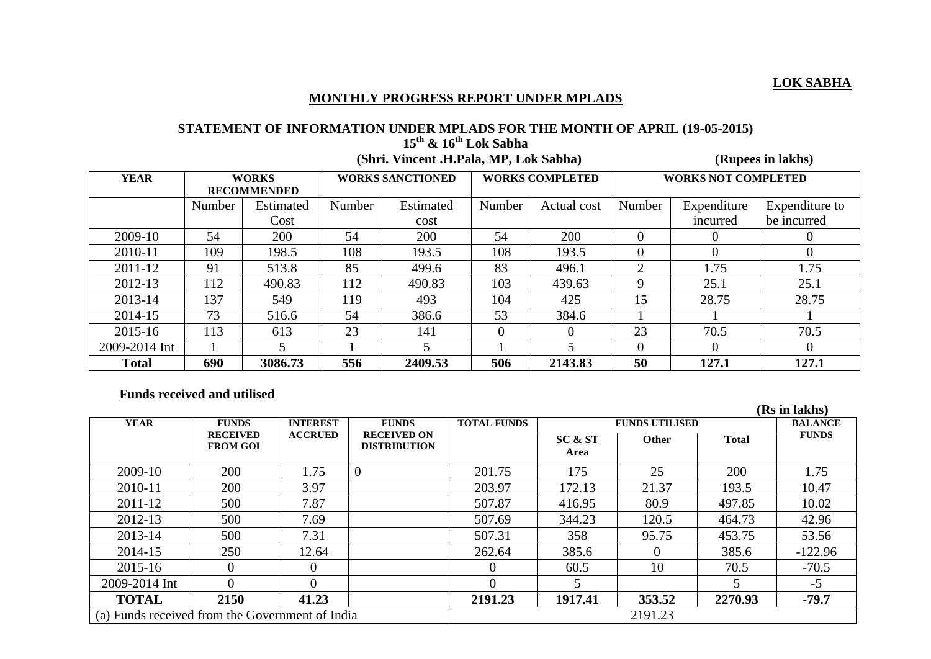## **MONTHLY PROGRESS REPORT UNDER MPLADS**

## **STATEMENT OF INFORMATION UNDER MPLADS FOR THE MONTH OF APRIL (19-05-2015) 15th & 16th Lok Sabha**

 **(Shri. Vincent .H.Pala, MP, Lok Sabha) (Rupees in lakhs)**

| <b>YEAR</b>   | <b>WORKS</b>       |           | <b>WORKS SANCTIONED</b> |           | <b>WORKS COMPLETED</b> |             | <b>WORKS NOT COMPLETED</b> |             |                |
|---------------|--------------------|-----------|-------------------------|-----------|------------------------|-------------|----------------------------|-------------|----------------|
|               | <b>RECOMMENDED</b> |           |                         |           |                        |             |                            |             |                |
|               | Number             | Estimated | Number                  | Estimated | Number                 | Actual cost | Number                     | Expenditure | Expenditure to |
|               |                    | Cost      |                         | cost      |                        |             |                            | incurred    | be incurred    |
| 2009-10       | 54                 | 200       | 54                      | 200       | 54                     | 200         |                            |             |                |
| 2010-11       | 109                | 198.5     | 108                     | 193.5     | 108                    | 193.5       | $\theta$                   | $\theta$    | $\theta$       |
| 2011-12       | 91                 | 513.8     | 85                      | 499.6     | 83                     | 496.1       | $\overline{2}$             | 1.75        | 1.75           |
| 2012-13       | 112                | 490.83    | 112                     | 490.83    | 103                    | 439.63      | 9                          | 25.1        | 25.1           |
| 2013-14       | 137                | 549       | 119                     | 493       | 104                    | 425         | 15                         | 28.75       | 28.75          |
| 2014-15       | 73                 | 516.6     | 54                      | 386.6     | 53                     | 384.6       |                            |             |                |
| 2015-16       | 113                | 613       | 23                      | 141       | 0                      | $\theta$    | 23                         | 70.5        | 70.5           |
| 2009-2014 Int |                    |           |                         |           |                        |             | $\Omega$                   | $\Omega$    | $\Omega$       |
| <b>Total</b>  | 690                | 3086.73   | 556                     | 2409.53   | 506                    | 2143.83     | 50                         | 127.1       | 127.1          |

## **Funds received and utilised**

|                                                 |              |                 |                                           |                    |                       |              |              | (Rs in lakhs)  |
|-------------------------------------------------|--------------|-----------------|-------------------------------------------|--------------------|-----------------------|--------------|--------------|----------------|
| <b>YEAR</b>                                     | <b>FUNDS</b> | <b>INTEREST</b> | <b>FUNDS</b>                              | <b>TOTAL FUNDS</b> | <b>FUNDS UTILISED</b> |              |              | <b>BALANCE</b> |
| <b>RECEIVED</b><br><b>FROM GOI</b>              |              | <b>ACCRUED</b>  | <b>RECEIVED ON</b><br><b>DISTRIBUTION</b> |                    | SC & ST<br>Area       | <b>Other</b> | <b>Total</b> | <b>FUNDS</b>   |
| 2009-10                                         | 200          | 1.75            | $\overline{0}$                            | 201.75             | 175                   | 25           | <b>200</b>   | 1.75           |
| 2010-11                                         | 200          | 3.97            |                                           | 203.97             | 172.13                | 21.37        | 193.5        | 10.47          |
| 2011-12                                         | 500          | 7.87            |                                           | 507.87             | 416.95                | 80.9         | 497.85       | 10.02          |
| 2012-13                                         | 500          | 7.69            |                                           | 507.69             | 344.23                | 120.5        | 464.73       | 42.96          |
| 2013-14                                         | 500          | 7.31            |                                           | 507.31             | 358                   | 95.75        | 453.75       | 53.56          |
| 2014-15                                         | 250          | 12.64           |                                           | 262.64             | 385.6                 | $\Omega$     | 385.6        | $-122.96$      |
| 2015-16                                         | $\Omega$     | $\Omega$        |                                           | $\Omega$           | 60.5                  | 10           | 70.5         | $-70.5$        |
| 2009-2014 Int                                   | $\Omega$     | $\Omega$        |                                           | $\Omega$           |                       |              |              | $-5$           |
| <b>TOTAL</b>                                    | 2150         | 41.23           |                                           | 2191.23            | 1917.41               | 353.52       | 2270.93      | $-79.7$        |
| (a) Funds received from the Government of India |              |                 |                                           | 2191.23            |                       |              |              |                |